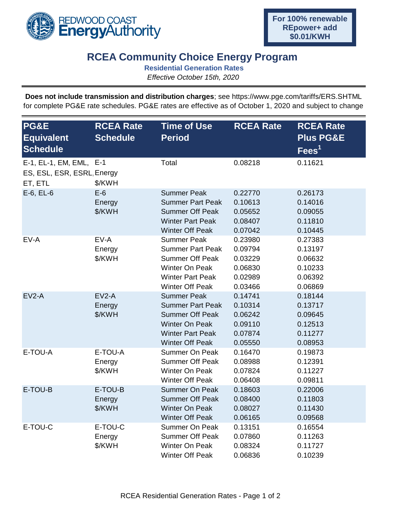

## **RCEA Community Choice Energy Program**

**Residential Generation Rates**

*Effective October 15th, 2020*

**Does not include transmission and distribution charges**; see https://www.pge.com/tariffs/ERS.SHTML for complete PG&E rate schedules. PG&E rates are effective as of October 1, 2020 and subject to change

| PG&E<br><b>Equivalent</b><br><b>Schedule</b>                     | <b>RCEA Rate</b><br><b>Schedule</b> | <b>Time of Use</b><br><b>Period</b>                                                                                                                   | <b>RCEA Rate</b>                                               | <b>RCEA Rate</b><br><b>Plus PG&amp;E</b><br>$\overline{\mathsf{Fees}}^1$ |
|------------------------------------------------------------------|-------------------------------------|-------------------------------------------------------------------------------------------------------------------------------------------------------|----------------------------------------------------------------|--------------------------------------------------------------------------|
| E-1, EL-1, EM, EML, E-1<br>ES, ESL, ESR, ESRL, Energy<br>ET, ETL | \$/KWH                              | Total                                                                                                                                                 | 0.08218                                                        | 0.11621                                                                  |
| $E-6$ , $EL-6$                                                   | $E-6$<br>Energy<br>\$/KWH           | <b>Summer Peak</b><br><b>Summer Part Peak</b><br><b>Summer Off Peak</b><br><b>Winter Part Peak</b><br><b>Winter Off Peak</b>                          | 0.22770<br>0.10613<br>0.05652<br>0.08407<br>0.07042            | 0.26173<br>0.14016<br>0.09055<br>0.11810<br>0.10445                      |
| EV-A                                                             | EV-A<br>Energy<br>\$/KWH            | <b>Summer Peak</b><br><b>Summer Part Peak</b><br><b>Summer Off Peak</b><br><b>Winter On Peak</b><br><b>Winter Part Peak</b><br><b>Winter Off Peak</b> | 0.23980<br>0.09794<br>0.03229<br>0.06830<br>0.02989<br>0.03466 | 0.27383<br>0.13197<br>0.06632<br>0.10233<br>0.06392<br>0.06869           |
| $EV2-A$                                                          | $EV2-A$<br>Energy<br>\$/KWH         | <b>Summer Peak</b><br><b>Summer Part Peak</b><br><b>Summer Off Peak</b><br><b>Winter On Peak</b><br><b>Winter Part Peak</b><br><b>Winter Off Peak</b> | 0.14741<br>0.10314<br>0.06242<br>0.09110<br>0.07874<br>0.05550 | 0.18144<br>0.13717<br>0.09645<br>0.12513<br>0.11277<br>0.08953           |
| E-TOU-A                                                          | E-TOU-A<br>Energy<br>\$/KWH         | <b>Summer On Peak</b><br><b>Summer Off Peak</b><br><b>Winter On Peak</b><br><b>Winter Off Peak</b>                                                    | 0.16470<br>0.08988<br>0.07824<br>0.06408                       | 0.19873<br>0.12391<br>0.11227<br>0.09811                                 |
| E-TOU-B                                                          | E-TOU-B<br>Energy<br>\$/KWH         | <b>Summer On Peak</b><br><b>Summer Off Peak</b><br>Winter On Peak<br><b>Winter Off Peak</b>                                                           | 0.18603<br>0.08400<br>0.08027<br>0.06165                       | 0.22006<br>0.11803<br>0.11430<br>0.09568                                 |
| E-TOU-C                                                          | E-TOU-C<br>Energy<br>\$/KWH         | <b>Summer On Peak</b><br><b>Summer Off Peak</b><br><b>Winter On Peak</b><br><b>Winter Off Peak</b>                                                    | 0.13151<br>0.07860<br>0.08324<br>0.06836                       | 0.16554<br>0.11263<br>0.11727<br>0.10239                                 |